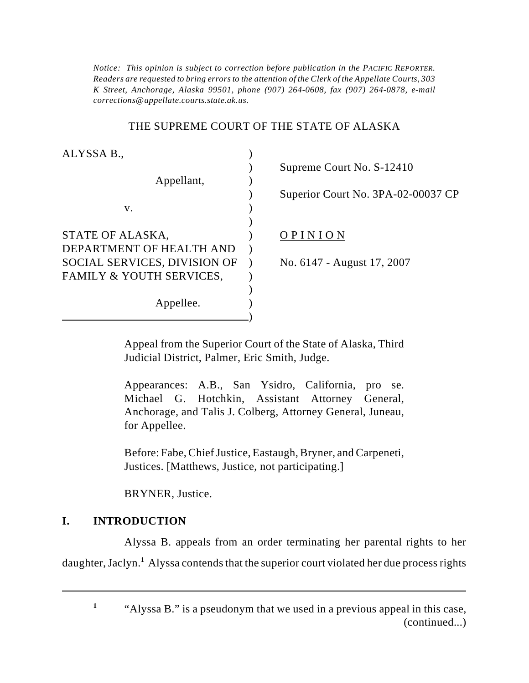*Notice: This opinion is subject to correction before publication in the PACIFIC REPORTER. Readers are requested to bring errors to the attention of the Clerk of the Appellate Courts, 303 K Street, Anchorage, Alaska 99501, phone (907) 264-0608, fax (907) 264-0878, e-mail corrections@appellate.courts.state.ak.us.*

## THE SUPREME COURT OF THE STATE OF ALASKA

| ALYSSA B.,                   |  |
|------------------------------|--|
|                              |  |
| Appellant,                   |  |
|                              |  |
| v.                           |  |
|                              |  |
| STATE OF ALASKA,             |  |
| DEPARTMENT OF HEALTH AND     |  |
| SOCIAL SERVICES, DIVISION OF |  |
| FAMILY & YOUTH SERVICES,     |  |
|                              |  |
| Appellee.                    |  |
|                              |  |

) Supreme Court No. S-12410

) Superior Court No. 3PA-02-00037 CP

# OP IN ION

No. 6147 - August 17, 2007

Appeal from the Superior Court of the State of Alaska, Third Judicial District, Palmer, Eric Smith, Judge.

Appearances: A.B., San Ysidro, California, pro se. Michael G. Hotchkin, Assistant Attorney General, Anchorage, and Talis J. Colberg, Attorney General, Juneau, for Appellee.

Before: Fabe, Chief Justice, Eastaugh, Bryner, and Carpeneti, Justices. [Matthews, Justice, not participating.]

BRYNER, Justice.

## **I. INTRODUCTION**

Alyssa B. appeals from an order terminating her parental rights to her daughter, Jaclyn.<sup>1</sup> Alyssa contends that the superior court violated her due process rights

<sup>&</sup>lt;sup>1</sup> "Alyssa B." is a pseudonym that we used in a previous appeal in this case, (continued...)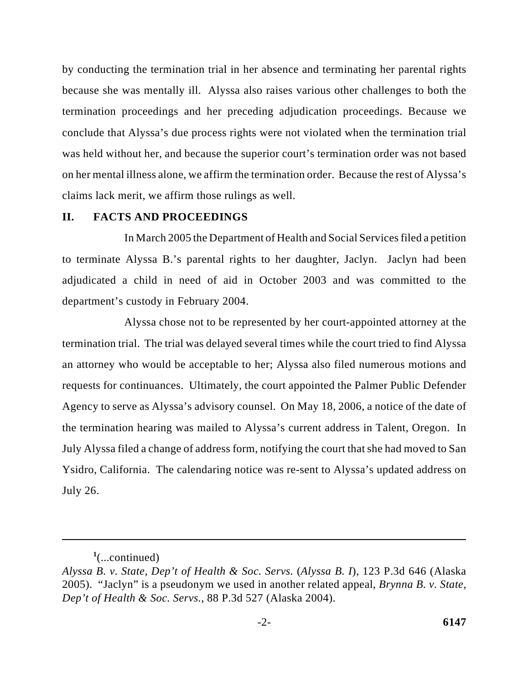by conducting the termination trial in her absence and terminating her parental rights because she was mentally ill. Alyssa also raises various other challenges to both the termination proceedings and her preceding adjudication proceedings. Because we conclude that Alyssa's due process rights were not violated when the termination trial was held without her, and because the superior court's termination order was not based on her mental illness alone, we affirm the termination order. Because the rest of Alyssa's claims lack merit, we affirm those rulings as well.

### **II. FACTS AND PROCEEDINGS**

In March 2005 the Department of Health and Social Services filed a petition to terminate Alyssa B.'s parental rights to her daughter, Jaclyn. Jaclyn had been adjudicated a child in need of aid in October 2003 and was committed to the department's custody in February 2004.

Alyssa chose not to be represented by her court-appointed attorney at the termination trial. The trial was delayed several times while the court tried to find Alyssa an attorney who would be acceptable to her; Alyssa also filed numerous motions and requests for continuances. Ultimately, the court appointed the Palmer Public Defender Agency to serve as Alyssa's advisory counsel. On May 18, 2006, a notice of the date of the termination hearing was mailed to Alyssa's current address in Talent, Oregon. In July Alyssa filed a change of address form, notifying the court that she had moved to San Ysidro, California. The calendaring notice was re-sent to Alyssa's updated address on July 26.

 $\frac{1}{2}$ (...continued)

*Alyssa B. v. State, Dep't of Health & Soc. Servs.* (*Alyssa B. I*), 123 P.3d 646 (Alaska 2005). "Jaclyn" is a pseudonym we used in another related appeal, *Brynna B. v. State, Dep't of Health & Soc. Servs.*, 88 P.3d 527 (Alaska 2004).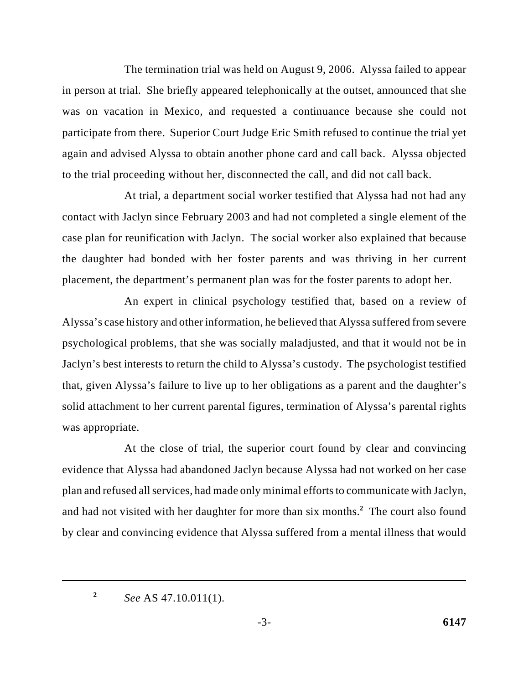The termination trial was held on August 9, 2006. Alyssa failed to appear in person at trial. She briefly appeared telephonically at the outset, announced that she was on vacation in Mexico, and requested a continuance because she could not participate from there. Superior Court Judge Eric Smith refused to continue the trial yet again and advised Alyssa to obtain another phone card and call back. Alyssa objected to the trial proceeding without her, disconnected the call, and did not call back.

At trial, a department social worker testified that Alyssa had not had any contact with Jaclyn since February 2003 and had not completed a single element of the case plan for reunification with Jaclyn. The social worker also explained that because the daughter had bonded with her foster parents and was thriving in her current placement, the department's permanent plan was for the foster parents to adopt her.

An expert in clinical psychology testified that, based on a review of Alyssa's case history and other information, he believed that Alyssa suffered from severe psychological problems, that she was socially maladjusted, and that it would not be in Jaclyn's best interests to return the child to Alyssa's custody. The psychologist testified that, given Alyssa's failure to live up to her obligations as a parent and the daughter's solid attachment to her current parental figures, termination of Alyssa's parental rights was appropriate.

At the close of trial, the superior court found by clear and convincing evidence that Alyssa had abandoned Jaclyn because Alyssa had not worked on her case plan and refused all services, had made only minimal efforts to communicate with Jaclyn, and had not visited with her daughter for more than six months.<sup>2</sup> The court also found by clear and convincing evidence that Alyssa suffered from a mental illness that would

*See* AS 47.10.011(1). **<sup>2</sup>**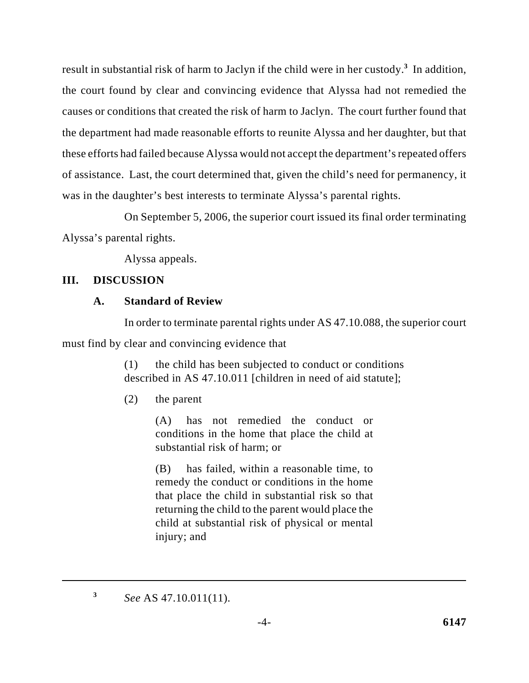result in substantial risk of harm to Jaclyn if the child were in her custody.<sup>3</sup> In addition, the court found by clear and convincing evidence that Alyssa had not remedied the causes or conditions that created the risk of harm to Jaclyn. The court further found that the department had made reasonable efforts to reunite Alyssa and her daughter, but that these efforts had failed because Alyssa would not accept the department's repeated offers of assistance. Last, the court determined that, given the child's need for permanency, it was in the daughter's best interests to terminate Alyssa's parental rights.

On September 5, 2006, the superior court issued its final order terminating Alyssa's parental rights.

Alyssa appeals.

## **III. DISCUSSION**

## **A. Standard of Review**

In order to terminate parental rights under AS 47.10.088, the superior court

must find by clear and convincing evidence that

(1) the child has been subjected to conduct or conditions described in AS 47.10.011 [children in need of aid statute];

(2) the parent

(A) has not remedied the conduct or conditions in the home that place the child at substantial risk of harm; or

(B) has failed, within a reasonable time, to remedy the conduct or conditions in the home that place the child in substantial risk so that returning the child to the parent would place the child at substantial risk of physical or mental injury; and

*See* AS 47.10.011(11). **<sup>3</sup>**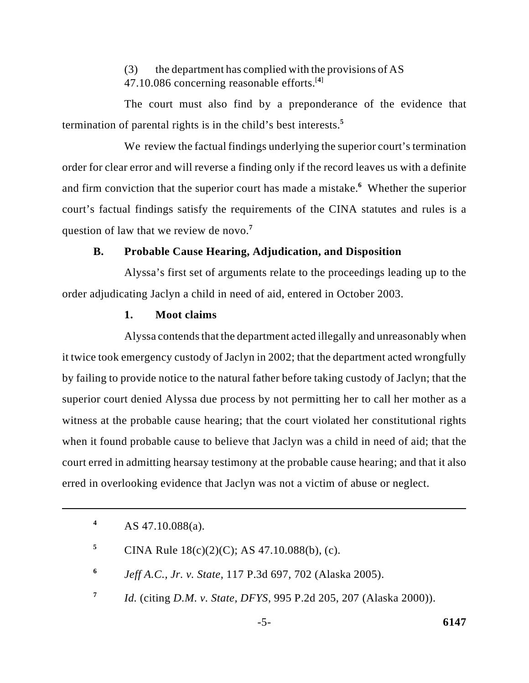(3) the department has complied with the provisions of AS 47.10.086 concerning reasonable efforts.<sup>[4]</sup>

The court must also find by a preponderance of the evidence that termination of parental rights is in the child's best interests.**<sup>5</sup>**

We review the factual findings underlying the superior court's termination order for clear error and will reverse a finding only if the record leaves us with a definite and firm conviction that the superior court has made a mistake.<sup>6</sup> Whether the superior court's factual findings satisfy the requirements of the CINA statutes and rules is a question of law that we review de novo.**<sup>7</sup>**

## **B. Probable Cause Hearing, Adjudication, and Disposition**

Alyssa's first set of arguments relate to the proceedings leading up to the order adjudicating Jaclyn a child in need of aid, entered in October 2003.

### **1. Moot claims**

Alyssa contends that the department acted illegally and unreasonably when it twice took emergency custody of Jaclyn in 2002; that the department acted wrongfully by failing to provide notice to the natural father before taking custody of Jaclyn; that the superior court denied Alyssa due process by not permitting her to call her mother as a witness at the probable cause hearing; that the court violated her constitutional rights when it found probable cause to believe that Jaclyn was a child in need of aid; that the court erred in admitting hearsay testimony at the probable cause hearing; and that it also erred in overlooking evidence that Jaclyn was not a victim of abuse or neglect.

AS 47.10.088(a). **4**

- CINA Rule  $18(c)(2)(C)$ ; AS 47.10.088(b), (c). **5**
- *Jeff A.C., Jr. v. State*, 117 P.3d 697, 702 (Alaska 2005). **<sup>6</sup>**
- *Id.* (citing *D.M. v. State, DFYS*, 995 P.2d 205, 207 (Alaska 2000)). **<sup>7</sup>**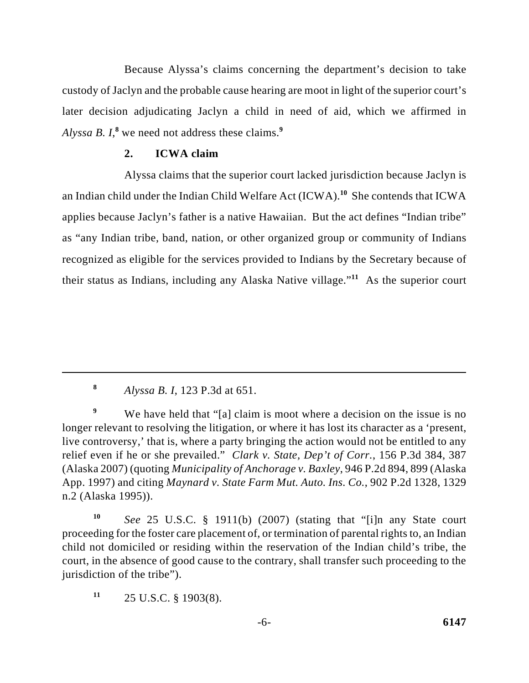Because Alyssa's claims concerning the department's decision to take custody of Jaclyn and the probable cause hearing are moot in light of the superior court's later decision adjudicating Jaclyn a child in need of aid, which we affirmed in *Alyssa B. I*,<sup>8</sup> we need not address these claims.<sup>9</sup>

# **2. ICWA claim**

Alyssa claims that the superior court lacked jurisdiction because Jaclyn is an Indian child under the Indian Child Welfare Act  $(ICWA)$ <sup>10</sup> She contends that  $ICWA$ applies because Jaclyn's father is a native Hawaiian. But the act defines "Indian tribe" as "any Indian tribe, band, nation, or other organized group or community of Indians recognized as eligible for the services provided to Indians by the Secretary because of their status as Indians, including any Alaska Native village."<sup>11</sup> As the superior court

*Alyssa B. I*, 123 P.3d at 651. **<sup>8</sup>**

We have held that "[a] claim is moot where a decision on the issue is no **<sup>9</sup>** longer relevant to resolving the litigation, or where it has lost its character as a 'present, live controversy,' that is, where a party bringing the action would not be entitled to any relief even if he or she prevailed." *Clark v. State, Dep't of Corr.*, 156 P.3d 384, 387 (Alaska 2007) (quoting *Municipality of Anchorage v. Baxley*, 946 P.2d 894, 899 (Alaska App. 1997) and citing *Maynard v. State Farm Mut. Auto. Ins. Co.*, 902 P.2d 1328, 1329 n.2 (Alaska 1995)).

*See* 25 U.S.C. § 1911(b) (2007) (stating that "[i]n any State court **<sup>10</sup>** proceeding for the foster care placement of, or termination of parental rights to, an Indian child not domiciled or residing within the reservation of the Indian child's tribe, the court, in the absence of good cause to the contrary, shall transfer such proceeding to the jurisdiction of the tribe").

 $11$  25 U.S.C. § 1903(8).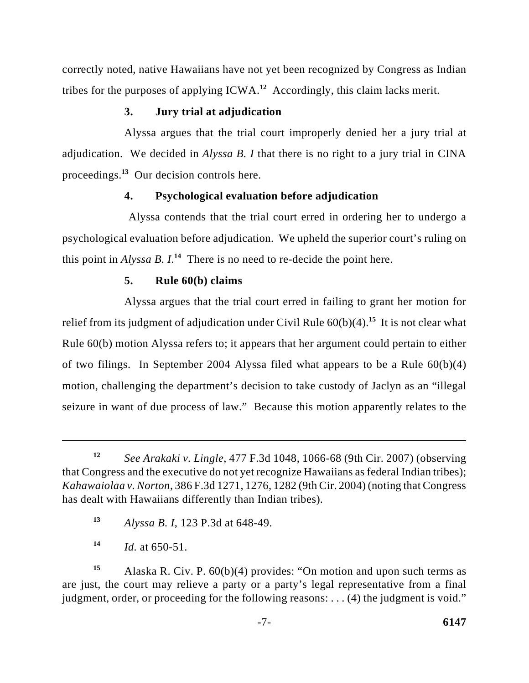correctly noted, native Hawaiians have not yet been recognized by Congress as Indian tribes for the purposes of applying  $ICWA<sup>12</sup>$  Accordingly, this claim lacks merit.

# **3. Jury trial at adjudication**

Alyssa argues that the trial court improperly denied her a jury trial at adjudication. We decided in *Alyssa B. I* that there is no right to a jury trial in CINA proceedings.<sup>13</sup> Our decision controls here.

# **4. Psychological evaluation before adjudication**

 Alyssa contends that the trial court erred in ordering her to undergo a psychological evaluation before adjudication. We upheld the superior court's ruling on this point in  $Alyssa B. I<sup>14</sup>$ . There is no need to re-decide the point here.

# **5. Rule 60(b) claims**

Alyssa argues that the trial court erred in failing to grant her motion for relief from its judgment of adjudication under Civil Rule  $60(b)(4)$ <sup>15</sup> It is not clear what Rule 60(b) motion Alyssa refers to; it appears that her argument could pertain to either of two filings. In September 2004 Alyssa filed what appears to be a Rule 60(b)(4) motion, challenging the department's decision to take custody of Jaclyn as an "illegal seizure in want of due process of law." Because this motion apparently relates to the

*Alyssa B. I*, 123 P.3d at 648-49. **13**

*See Arakaki v. Lingle*, 477 F.3d 1048, 1066-68 (9th Cir. 2007) (observing **<sup>12</sup>** that Congress and the executive do not yet recognize Hawaiians as federal Indian tribes); *Kahawaiolaa v. Norton*, 386 F.3d 1271, 1276, 1282 (9th Cir. 2004) (noting that Congress has dealt with Hawaiians differently than Indian tribes).

 $14$  *Id.* at 650-51.

Alaska R. Civ. P. 60(b)(4) provides: "On motion and upon such terms as **<sup>15</sup>** are just, the court may relieve a party or a party's legal representative from a final judgment, order, or proceeding for the following reasons: . . . (4) the judgment is void."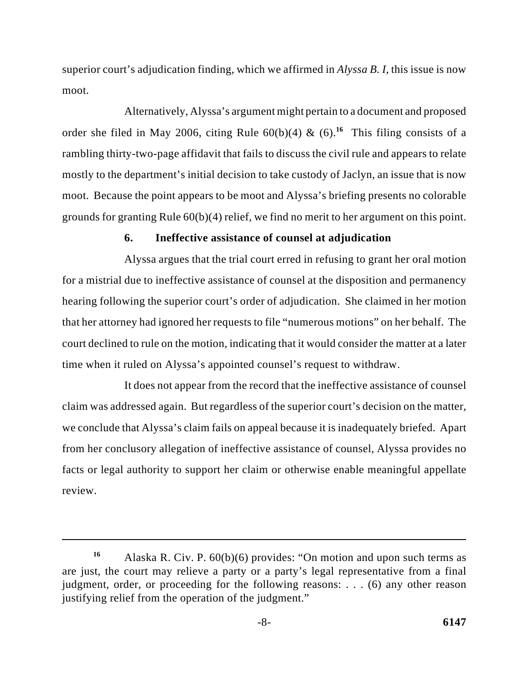superior court's adjudication finding, which we affirmed in *Alyssa B. I*, this issue is now moot.

Alternatively, Alyssa's argument might pertain to a document and proposed order she filed in May 2006, citing Rule  $60(b)(4)$  &  $(6)$ .<sup>16</sup> This filing consists of a rambling thirty-two-page affidavit that fails to discuss the civil rule and appears to relate mostly to the department's initial decision to take custody of Jaclyn, an issue that is now moot. Because the point appears to be moot and Alyssa's briefing presents no colorable grounds for granting Rule 60(b)(4) relief, we find no merit to her argument on this point.

#### **6. Ineffective assistance of counsel at adjudication**

Alyssa argues that the trial court erred in refusing to grant her oral motion for a mistrial due to ineffective assistance of counsel at the disposition and permanency hearing following the superior court's order of adjudication. She claimed in her motion that her attorney had ignored her requests to file "numerous motions" on her behalf. The court declined to rule on the motion, indicating that it would consider the matter at a later time when it ruled on Alyssa's appointed counsel's request to withdraw.

It does not appear from the record that the ineffective assistance of counsel claim was addressed again. But regardless of the superior court's decision on the matter, we conclude that Alyssa's claim fails on appeal because it is inadequately briefed. Apart from her conclusory allegation of ineffective assistance of counsel, Alyssa provides no facts or legal authority to support her claim or otherwise enable meaningful appellate review.

Alaska R. Civ. P. 60(b)(6) provides: "On motion and upon such terms as **<sup>16</sup>** are just, the court may relieve a party or a party's legal representative from a final judgment, order, or proceeding for the following reasons: . . . (6) any other reason justifying relief from the operation of the judgment."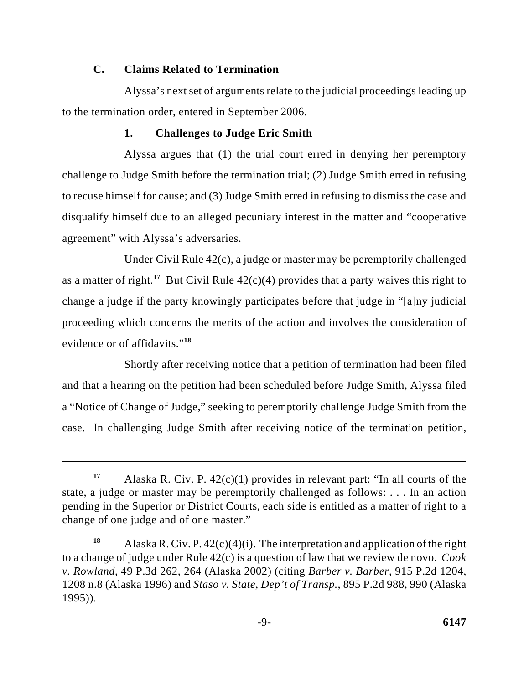# **C. Claims Related to Termination**

Alyssa's next set of arguments relate to the judicial proceedings leading up to the termination order, entered in September 2006.

# **1. Challenges to Judge Eric Smith**

Alyssa argues that (1) the trial court erred in denying her peremptory challenge to Judge Smith before the termination trial; (2) Judge Smith erred in refusing to recuse himself for cause; and (3) Judge Smith erred in refusing to dismiss the case and disqualify himself due to an alleged pecuniary interest in the matter and "cooperative agreement" with Alyssa's adversaries.

Under Civil Rule 42(c), a judge or master may be peremptorily challenged as a matter of right.<sup>17</sup> But Civil Rule  $42(c)(4)$  provides that a party waives this right to change a judge if the party knowingly participates before that judge in "[a]ny judicial proceeding which concerns the merits of the action and involves the consideration of evidence or of affidavits."**<sup>18</sup>**

Shortly after receiving notice that a petition of termination had been filed and that a hearing on the petition had been scheduled before Judge Smith, Alyssa filed a "Notice of Change of Judge," seeking to peremptorily challenge Judge Smith from the case. In challenging Judge Smith after receiving notice of the termination petition,

<sup>&</sup>lt;sup>17</sup> Alaska R. Civ. P.  $42(c)(1)$  provides in relevant part: "In all courts of the state, a judge or master may be peremptorily challenged as follows: . . . In an action pending in the Superior or District Courts, each side is entitled as a matter of right to a change of one judge and of one master."

<sup>&</sup>lt;sup>18</sup> Alaska R. Civ. P.  $42(c)(4)(i)$ . The interpretation and application of the right to a change of judge under Rule 42(c) is a question of law that we review de novo. *Cook v. Rowland*, 49 P.3d 262, 264 (Alaska 2002) (citing *Barber v. Barber*, 915 P.2d 1204, 1208 n.8 (Alaska 1996) and *Staso v. State, Dep't of Transp.*, 895 P.2d 988, 990 (Alaska 1995)).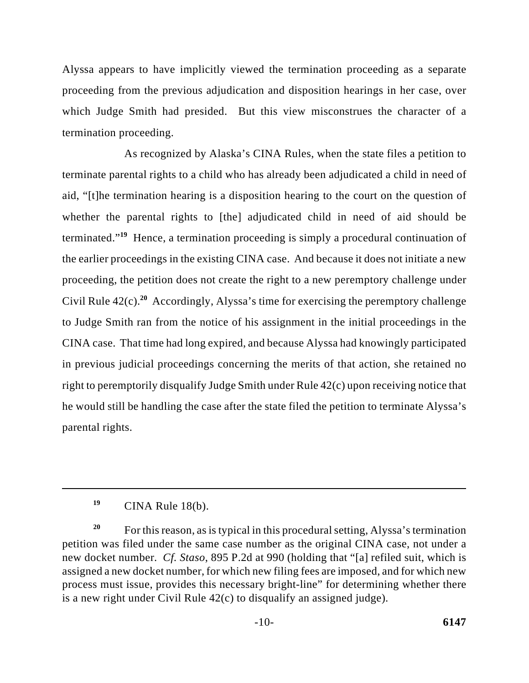Alyssa appears to have implicitly viewed the termination proceeding as a separate proceeding from the previous adjudication and disposition hearings in her case, over which Judge Smith had presided. But this view misconstrues the character of a termination proceeding.

As recognized by Alaska's CINA Rules, when the state files a petition to terminate parental rights to a child who has already been adjudicated a child in need of aid, "[t]he termination hearing is a disposition hearing to the court on the question of whether the parental rights to [the] adjudicated child in need of aid should be terminated."<sup>19</sup> Hence, a termination proceeding is simply a procedural continuation of the earlier proceedings in the existing CINA case. And because it does not initiate a new proceeding, the petition does not create the right to a new peremptory challenge under Civil Rule  $42(c)$ .<sup>20</sup> Accordingly, Alyssa's time for exercising the peremptory challenge to Judge Smith ran from the notice of his assignment in the initial proceedings in the CINA case. That time had long expired, and because Alyssa had knowingly participated in previous judicial proceedings concerning the merits of that action, she retained no right to peremptorily disqualify Judge Smith under Rule 42(c) upon receiving notice that he would still be handling the case after the state filed the petition to terminate Alyssa's parental rights.

CINA Rule 18(b). **<sup>19</sup>**

For this reason, as is typical in this procedural setting, Alyssa's termination **<sup>20</sup>** petition was filed under the same case number as the original CINA case, not under a new docket number. *Cf. Staso*, 895 P.2d at 990 (holding that "[a] refiled suit, which is assigned a new docket number, for which new filing fees are imposed, and for which new process must issue, provides this necessary bright-line" for determining whether there is a new right under Civil Rule 42(c) to disqualify an assigned judge).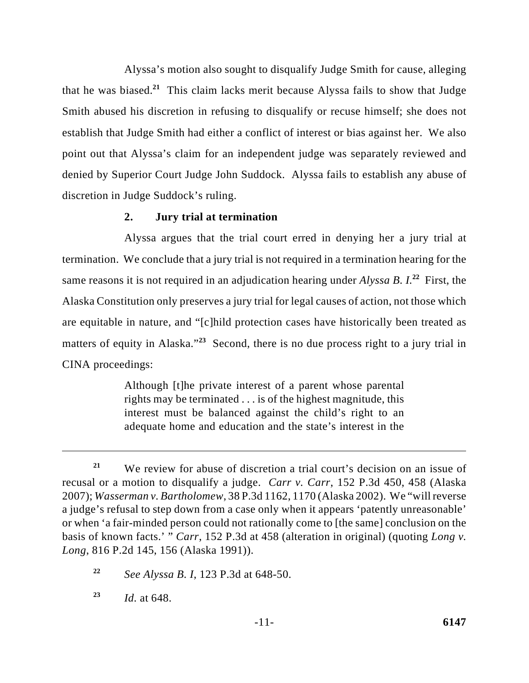Alyssa's motion also sought to disqualify Judge Smith for cause, alleging that he was biased.<sup>21</sup> This claim lacks merit because Alyssa fails to show that Judge Smith abused his discretion in refusing to disqualify or recuse himself; she does not establish that Judge Smith had either a conflict of interest or bias against her. We also point out that Alyssa's claim for an independent judge was separately reviewed and denied by Superior Court Judge John Suddock. Alyssa fails to establish any abuse of discretion in Judge Suddock's ruling.

### **2. Jury trial at termination**

Alyssa argues that the trial court erred in denying her a jury trial at termination. We conclude that a jury trial is not required in a termination hearing for the same reasons it is not required in an adjudication hearing under *Alyssa B. I.*<sup>22</sup> First, the Alaska Constitution only preserves a jury trial for legal causes of action, not those which are equitable in nature, and "[c]hild protection cases have historically been treated as matters of equity in Alaska."<sup>23</sup> Second, there is no due process right to a jury trial in CINA proceedings:

> Although [t]he private interest of a parent whose parental rights may be terminated . . . is of the highest magnitude, this interest must be balanced against the child's right to an adequate home and education and the state's interest in the

We review for abuse of discretion a trial court's decision on an issue of **<sup>21</sup>** recusal or a motion to disqualify a judge. *Carr v. Carr*, 152 P.3d 450, 458 (Alaska 2007); *Wasserman v. Bartholomew*, 38 P.3d 1162, 1170 (Alaska 2002). We "will reverse a judge's refusal to step down from a case only when it appears 'patently unreasonable' or when 'a fair-minded person could not rationally come to [the same] conclusion on the basis of known facts.' " *Carr*, 152 P.3d at 458 (alteration in original) (quoting *Long v. Long*, 816 P.2d 145, 156 (Alaska 1991)).

*See Alyssa B. I*, 123 P.3d at 648-50. **<sup>22</sup>**

*Id.* at 648. **<sup>23</sup>**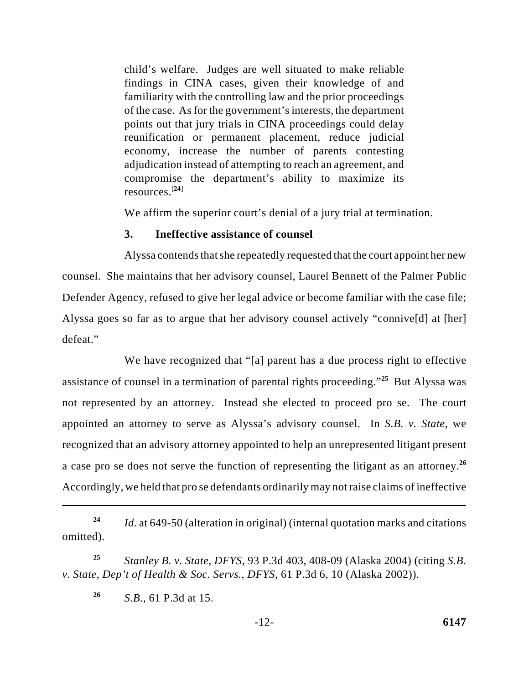child's welfare. Judges are well situated to make reliable findings in CINA cases, given their knowledge of and familiarity with the controlling law and the prior proceedings of the case. As for the government's interests, the department points out that jury trials in CINA proceedings could delay reunification or permanent placement, reduce judicial economy, increase the number of parents contesting adjudication instead of attempting to reach an agreement, and compromise the department's ability to maximize its resources<sup>[24]</sup>

We affirm the superior court's denial of a jury trial at termination.

## **3. Ineffective assistance of counsel**

Alyssa contends that she repeatedly requested that the court appoint her new counsel. She maintains that her advisory counsel, Laurel Bennett of the Palmer Public Defender Agency, refused to give her legal advice or become familiar with the case file; Alyssa goes so far as to argue that her advisory counsel actively "connive[d] at [her] defeat."

We have recognized that "[a] parent has a due process right to effective assistance of counsel in a termination of parental rights proceeding."<sup>25</sup> But Alyssa was not represented by an attorney. Instead she elected to proceed pro se. The court appointed an attorney to serve as Alyssa's advisory counsel. In *S.B. v. State*, we recognized that an advisory attorney appointed to help an unrepresented litigant present a case pro se does not serve the function of representing the litigant as an attorney.**<sup>26</sup>** Accordingly, we held that pro se defendants ordinarily may not raise claims of ineffective

*Id.* at 649-50 (alteration in original) (internal quotation marks and citations **<sup>24</sup>** omitted).

*Stanley B. v. State, DFYS*, 93 P.3d 403, 408-09 (Alaska 2004) (citing *S.B.* **<sup>25</sup>** *v. State, Dep't of Health & Soc. Servs., DFYS*, 61 P.3d 6, 10 (Alaska 2002)).

*S.B.*, 61 P.3d at 15. **<sup>26</sup>**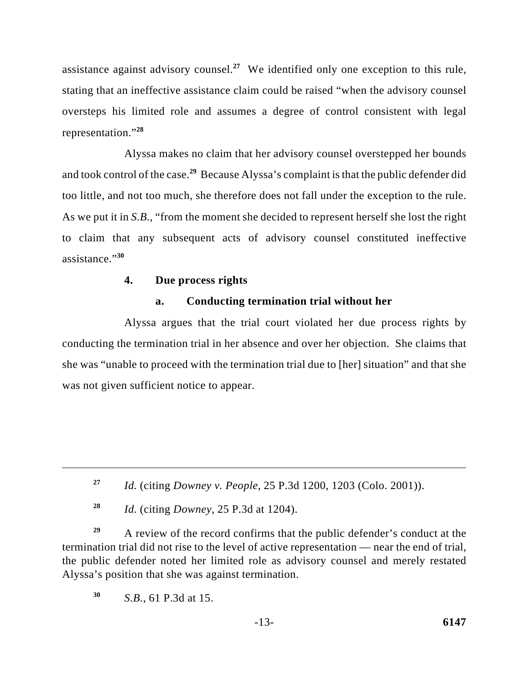assistance against advisory counsel.<sup>27</sup> We identified only one exception to this rule, stating that an ineffective assistance claim could be raised "when the advisory counsel oversteps his limited role and assumes a degree of control consistent with legal representation."**<sup>28</sup>**

Alyssa makes no claim that her advisory counsel overstepped her bounds and took control of the case.<sup>29</sup> Because Alyssa's complaint is that the public defender did too little, and not too much, she therefore does not fall under the exception to the rule. As we put it in *S.B.*, "from the moment she decided to represent herself she lost the right to claim that any subsequent acts of advisory counsel constituted ineffective assistance."**<sup>30</sup>**

#### **4. Due process rights**

### **a. Conducting termination trial without her**

Alyssa argues that the trial court violated her due process rights by conducting the termination trial in her absence and over her objection. She claims that she was "unable to proceed with the termination trial due to [her] situation" and that she was not given sufficient notice to appear.

*Id.* (citing *Downey*, 25 P.3d at 1204). **<sup>28</sup>**

A review of the record confirms that the public defender's conduct at the **<sup>29</sup>** termination trial did not rise to the level of active representation — near the end of trial, the public defender noted her limited role as advisory counsel and merely restated Alyssa's position that she was against termination.

*S.B.*, 61 P.3d at 15. **<sup>30</sup>**

*Id.* (citing *Downey v. People*, 25 P.3d 1200, 1203 (Colo. 2001)). **<sup>27</sup>**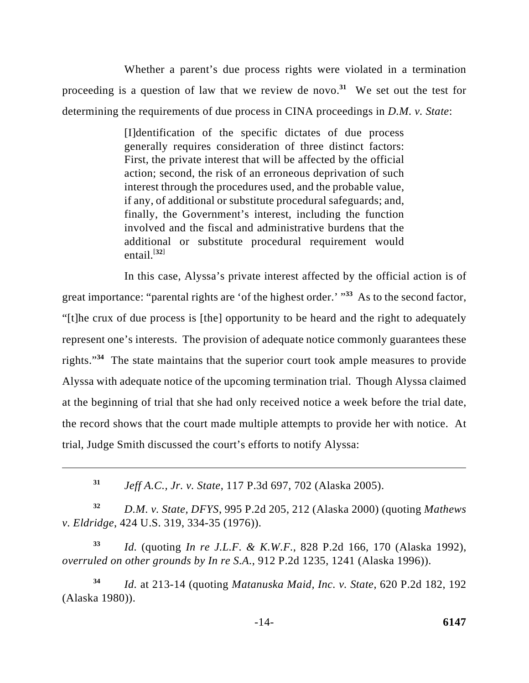Whether a parent's due process rights were violated in a termination proceeding is a question of law that we review de novo.<sup>31</sup> We set out the test for determining the requirements of due process in CINA proceedings in *D.M. v. State*:

> [I]dentification of the specific dictates of due process generally requires consideration of three distinct factors: First, the private interest that will be affected by the official action; second, the risk of an erroneous deprivation of such interest through the procedures used, and the probable value, if any, of additional or substitute procedural safeguards; and, finally, the Government's interest, including the function involved and the fiscal and administrative burdens that the additional or substitute procedural requirement would entail. $[$ <sup>32 $]$ </sup>

In this case, Alyssa's private interest affected by the official action is of great importance: "parental rights are 'of the highest order.' "<sup>33</sup> As to the second factor, "[t]he crux of due process is [the] opportunity to be heard and the right to adequately represent one's interests. The provision of adequate notice commonly guarantees these rights."<sup> $34$ </sup> The state maintains that the superior court took ample measures to provide Alyssa with adequate notice of the upcoming termination trial. Though Alyssa claimed at the beginning of trial that she had only received notice a week before the trial date, the record shows that the court made multiple attempts to provide her with notice. At trial, Judge Smith discussed the court's efforts to notify Alyssa:

*Jeff A.C., Jr. v. State*, 117 P.3d 697, 702 (Alaska 2005). **<sup>31</sup>**

*D.M. v. State, DFYS*, 995 P.2d 205, 212 (Alaska 2000) (quoting *Mathews* **<sup>32</sup>** *v. Eldridge*, 424 U.S. 319, 334-35 (1976)).

*Id.* (quoting *In re J.L.F. & K.W.F.*, 828 P.2d 166, 170 (Alaska 1992), **<sup>33</sup>** *overruled on other grounds by In re S.A.*, 912 P.2d 1235, 1241 (Alaska 1996)).

*Id.* at 213-14 (quoting *Matanuska Maid, Inc. v. State*, 620 P.2d 182, 192 **<sup>34</sup>** (Alaska 1980)).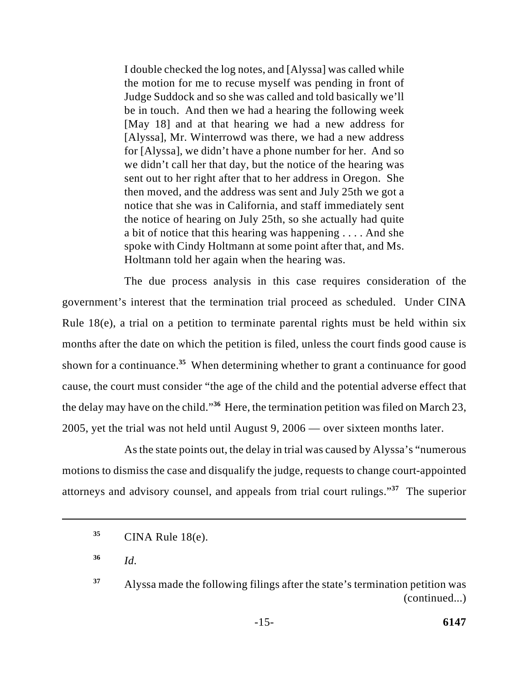I double checked the log notes, and [Alyssa] was called while the motion for me to recuse myself was pending in front of Judge Suddock and so she was called and told basically we'll be in touch. And then we had a hearing the following week [May 18] and at that hearing we had a new address for [Alyssa], Mr. Winterrowd was there, we had a new address for [Alyssa], we didn't have a phone number for her. And so we didn't call her that day, but the notice of the hearing was sent out to her right after that to her address in Oregon. She then moved, and the address was sent and July 25th we got a notice that she was in California, and staff immediately sent the notice of hearing on July 25th, so she actually had quite a bit of notice that this hearing was happening . . . . And she spoke with Cindy Holtmann at some point after that, and Ms. Holtmann told her again when the hearing was.

The due process analysis in this case requires consideration of the government's interest that the termination trial proceed as scheduled. Under CINA Rule 18(e), a trial on a petition to terminate parental rights must be held within six months after the date on which the petition is filed, unless the court finds good cause is shown for a continuance.<sup>35</sup> When determining whether to grant a continuance for good cause, the court must consider "the age of the child and the potential adverse effect that the delay may have on the child."<sup>36</sup> Here, the termination petition was filed on March 23, 2005, yet the trial was not held until August 9, 2006 — over sixteen months later.

As the state points out, the delay in trial was caused by Alyssa's "numerous motions to dismiss the case and disqualify the judge, requests to change court-appointed attorneys and advisory counsel, and appeals from trial court rulings."<sup>37</sup> The superior

CINA Rule 18(e). **<sup>35</sup>**

*Id.*  **36**

Alyssa made the following filings after the state's termination petition was **<sup>37</sup>** (continued...)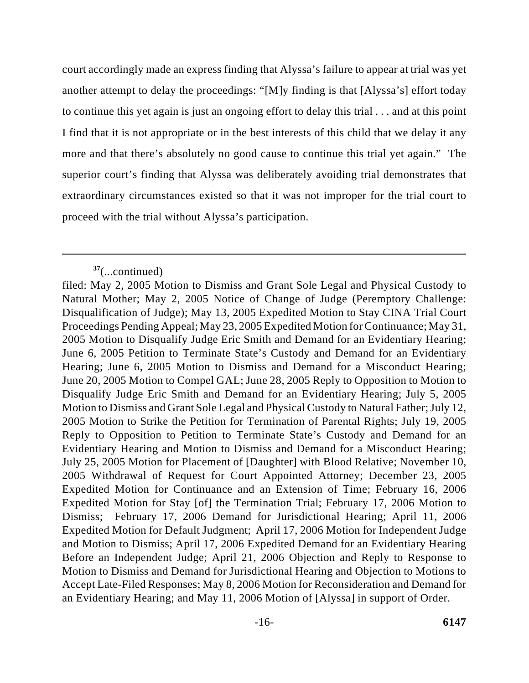court accordingly made an express finding that Alyssa's failure to appear at trial was yet another attempt to delay the proceedings: "[M]y finding is that [Alyssa's] effort today to continue this yet again is just an ongoing effort to delay this trial . . . and at this point I find that it is not appropriate or in the best interests of this child that we delay it any more and that there's absolutely no good cause to continue this trial yet again." The superior court's finding that Alyssa was deliberately avoiding trial demonstrates that extraordinary circumstances existed so that it was not improper for the trial court to proceed with the trial without Alyssa's participation.

<sup>(...</sup>continued) **<sup>37</sup>**

filed: May 2, 2005 Motion to Dismiss and Grant Sole Legal and Physical Custody to Natural Mother; May 2, 2005 Notice of Change of Judge (Peremptory Challenge: Disqualification of Judge); May 13, 2005 Expedited Motion to Stay CINA Trial Court Proceedings Pending Appeal; May 23, 2005 Expedited Motion for Continuance; May 31, 2005 Motion to Disqualify Judge Eric Smith and Demand for an Evidentiary Hearing; June 6, 2005 Petition to Terminate State's Custody and Demand for an Evidentiary Hearing; June 6, 2005 Motion to Dismiss and Demand for a Misconduct Hearing; June 20, 2005 Motion to Compel GAL; June 28, 2005 Reply to Opposition to Motion to Disqualify Judge Eric Smith and Demand for an Evidentiary Hearing; July 5, 2005 Motion to Dismiss and Grant Sole Legal and Physical Custody to Natural Father; July 12, 2005 Motion to Strike the Petition for Termination of Parental Rights; July 19, 2005 Reply to Opposition to Petition to Terminate State's Custody and Demand for an Evidentiary Hearing and Motion to Dismiss and Demand for a Misconduct Hearing; July 25, 2005 Motion for Placement of [Daughter] with Blood Relative; November 10, 2005 Withdrawal of Request for Court Appointed Attorney; December 23, 2005 Expedited Motion for Continuance and an Extension of Time; February 16, 2006 Expedited Motion for Stay [of] the Termination Trial; February 17, 2006 Motion to Dismiss; February 17, 2006 Demand for Jurisdictional Hearing; April 11, 2006 Expedited Motion for Default Judgment; April 17, 2006 Motion for Independent Judge and Motion to Dismiss; April 17, 2006 Expedited Demand for an Evidentiary Hearing Before an Independent Judge; April 21, 2006 Objection and Reply to Response to Motion to Dismiss and Demand for Jurisdictional Hearing and Objection to Motions to Accept Late-Filed Responses; May 8, 2006 Motion for Reconsideration and Demand for an Evidentiary Hearing; and May 11, 2006 Motion of [Alyssa] in support of Order.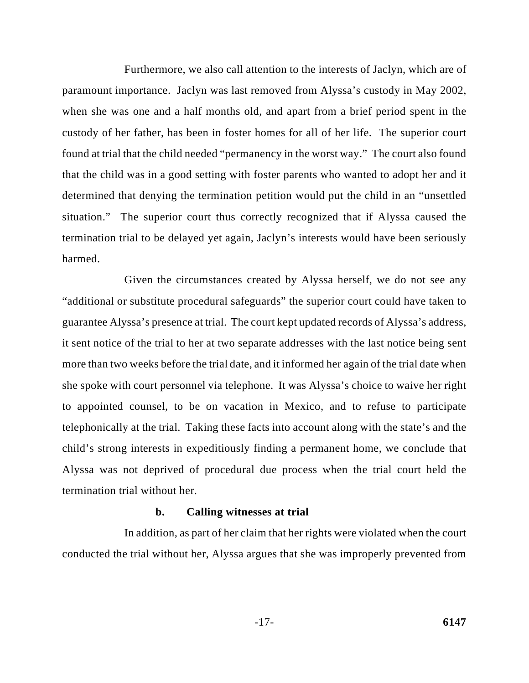Furthermore, we also call attention to the interests of Jaclyn, which are of paramount importance. Jaclyn was last removed from Alyssa's custody in May 2002, when she was one and a half months old, and apart from a brief period spent in the custody of her father, has been in foster homes for all of her life. The superior court found at trial that the child needed "permanency in the worst way." The court also found that the child was in a good setting with foster parents who wanted to adopt her and it determined that denying the termination petition would put the child in an "unsettled situation." The superior court thus correctly recognized that if Alyssa caused the termination trial to be delayed yet again, Jaclyn's interests would have been seriously harmed.

Given the circumstances created by Alyssa herself, we do not see any "additional or substitute procedural safeguards" the superior court could have taken to guarantee Alyssa's presence at trial. The court kept updated records of Alyssa's address, it sent notice of the trial to her at two separate addresses with the last notice being sent more than two weeks before the trial date, and it informed her again of the trial date when she spoke with court personnel via telephone. It was Alyssa's choice to waive her right to appointed counsel, to be on vacation in Mexico, and to refuse to participate telephonically at the trial. Taking these facts into account along with the state's and the child's strong interests in expeditiously finding a permanent home, we conclude that Alyssa was not deprived of procedural due process when the trial court held the termination trial without her.

#### **b. Calling witnesses at trial**

In addition, as part of her claim that her rights were violated when the court conducted the trial without her, Alyssa argues that she was improperly prevented from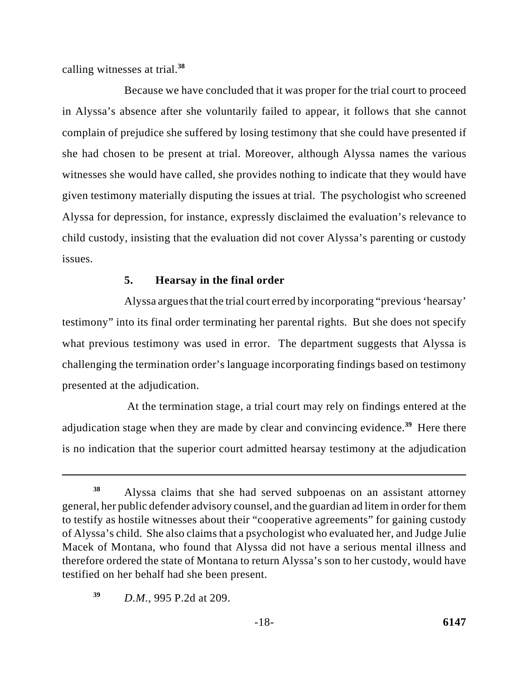calling witnesses at trial.**<sup>38</sup>**

Because we have concluded that it was proper for the trial court to proceed in Alyssa's absence after she voluntarily failed to appear, it follows that she cannot complain of prejudice she suffered by losing testimony that she could have presented if she had chosen to be present at trial. Moreover, although Alyssa names the various witnesses she would have called, she provides nothing to indicate that they would have given testimony materially disputing the issues at trial. The psychologist who screened Alyssa for depression, for instance, expressly disclaimed the evaluation's relevance to child custody, insisting that the evaluation did not cover Alyssa's parenting or custody issues.

## **5. Hearsay in the final order**

Alyssa argues that the trial court erred by incorporating "previous 'hearsay' testimony" into its final order terminating her parental rights. But she does not specify what previous testimony was used in error. The department suggests that Alyssa is challenging the termination order's language incorporating findings based on testimony presented at the adjudication.

 At the termination stage, a trial court may rely on findings entered at the adjudication stage when they are made by clear and convincing evidence.<sup>39</sup> Here there is no indication that the superior court admitted hearsay testimony at the adjudication

Alyssa claims that she had served subpoenas on an assistant attorney **<sup>38</sup>** general, her public defender advisory counsel, and the guardian ad litem in order for them to testify as hostile witnesses about their "cooperative agreements" for gaining custody of Alyssa's child. She also claims that a psychologist who evaluated her, and Judge Julie Macek of Montana, who found that Alyssa did not have a serious mental illness and therefore ordered the state of Montana to return Alyssa's son to her custody, would have testified on her behalf had she been present.

*D.M.*, 995 P.2d at 209. **<sup>39</sup>**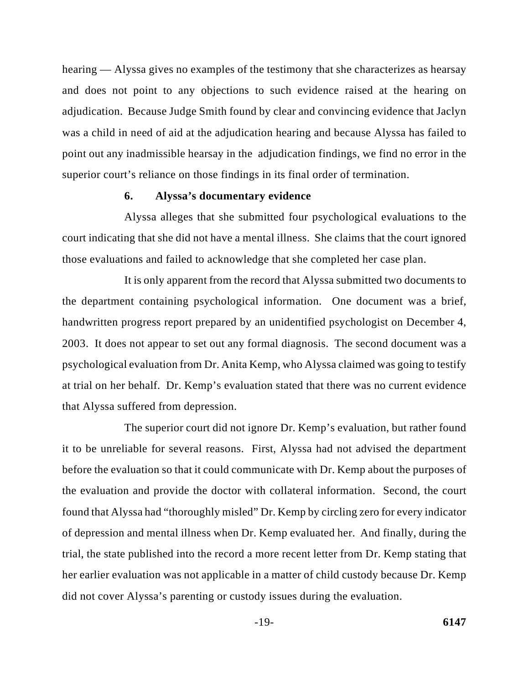hearing — Alyssa gives no examples of the testimony that she characterizes as hearsay and does not point to any objections to such evidence raised at the hearing on adjudication. Because Judge Smith found by clear and convincing evidence that Jaclyn was a child in need of aid at the adjudication hearing and because Alyssa has failed to point out any inadmissible hearsay in the adjudication findings, we find no error in the superior court's reliance on those findings in its final order of termination.

### **6. Alyssa's documentary evidence**

Alyssa alleges that she submitted four psychological evaluations to the court indicating that she did not have a mental illness. She claims that the court ignored those evaluations and failed to acknowledge that she completed her case plan.

It is only apparent from the record that Alyssa submitted two documents to the department containing psychological information. One document was a brief, handwritten progress report prepared by an unidentified psychologist on December 4, 2003. It does not appear to set out any formal diagnosis. The second document was a psychological evaluation from Dr. Anita Kemp, who Alyssa claimed was going to testify at trial on her behalf. Dr. Kemp's evaluation stated that there was no current evidence that Alyssa suffered from depression.

The superior court did not ignore Dr. Kemp's evaluation, but rather found it to be unreliable for several reasons. First, Alyssa had not advised the department before the evaluation so that it could communicate with Dr. Kemp about the purposes of the evaluation and provide the doctor with collateral information. Second, the court found that Alyssa had "thoroughly misled" Dr. Kemp by circling zero for every indicator of depression and mental illness when Dr. Kemp evaluated her. And finally, during the trial, the state published into the record a more recent letter from Dr. Kemp stating that her earlier evaluation was not applicable in a matter of child custody because Dr. Kemp did not cover Alyssa's parenting or custody issues during the evaluation.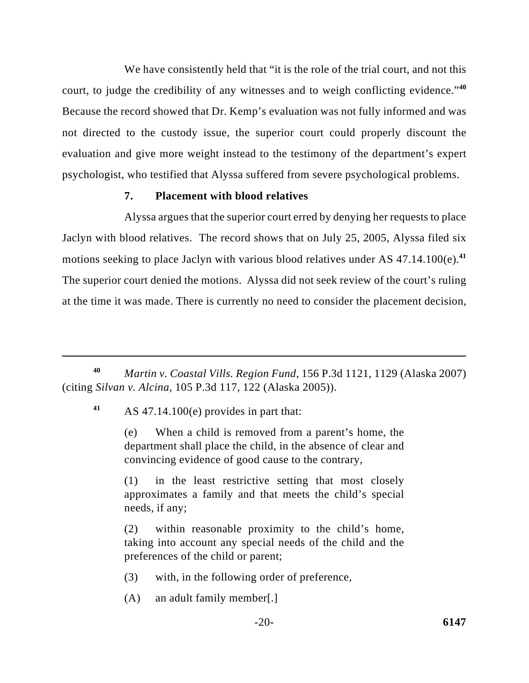We have consistently held that "it is the role of the trial court, and not this court, to judge the credibility of any witnesses and to weigh conflicting evidence."**<sup>40</sup>** Because the record showed that Dr. Kemp's evaluation was not fully informed and was not directed to the custody issue, the superior court could properly discount the evaluation and give more weight instead to the testimony of the department's expert psychologist, who testified that Alyssa suffered from severe psychological problems.

### **7. Placement with blood relatives**

Alyssa argues that the superior court erred by denying her requests to place Jaclyn with blood relatives. The record shows that on July 25, 2005, Alyssa filed six motions seeking to place Jaclyn with various blood relatives under AS 47.14.100(e). **41** The superior court denied the motions. Alyssa did not seek review of the court's ruling at the time it was made. There is currently no need to consider the placement decision,

*Martin v. Coastal Vills. Region Fund*, 156 P.3d 1121, 1129 (Alaska 2007) **<sup>40</sup>** (citing *Silvan v. Alcina*, 105 P.3d 117, 122 (Alaska 2005)).

AS 47.14.100(e) provides in part that: **<sup>41</sup>**

(e) When a child is removed from a parent's home, the department shall place the child, in the absence of clear and convincing evidence of good cause to the contrary,

(1) in the least restrictive setting that most closely approximates a family and that meets the child's special needs, if any;

(2) within reasonable proximity to the child's home, taking into account any special needs of the child and the preferences of the child or parent;

(3) with, in the following order of preference,

(A) an adult family member[.]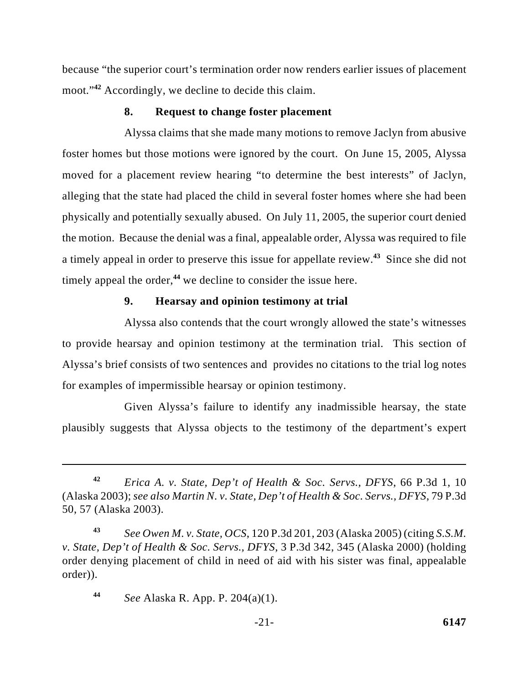because "the superior court's termination order now renders earlier issues of placement moot."<sup>42</sup> Accordingly, we decline to decide this claim.

### **8. Request to change foster placement**

Alyssa claims that she made many motions to remove Jaclyn from abusive foster homes but those motions were ignored by the court. On June 15, 2005, Alyssa moved for a placement review hearing "to determine the best interests" of Jaclyn, alleging that the state had placed the child in several foster homes where she had been physically and potentially sexually abused. On July 11, 2005, the superior court denied the motion. Because the denial was a final, appealable order, Alyssa was required to file a timely appeal in order to preserve this issue for appellate review.<sup>43</sup> Since she did not timely appeal the order, $44$  we decline to consider the issue here.

### **9. Hearsay and opinion testimony at trial**

Alyssa also contends that the court wrongly allowed the state's witnesses to provide hearsay and opinion testimony at the termination trial. This section of Alyssa's brief consists of two sentences and provides no citations to the trial log notes for examples of impermissible hearsay or opinion testimony.

Given Alyssa's failure to identify any inadmissible hearsay, the state plausibly suggests that Alyssa objects to the testimony of the department's expert

*Erica A. v. State, Dep't of Health & Soc. Servs., DFYS*, 66 P.3d 1, 10 **<sup>42</sup>** (Alaska 2003); *see also Martin N. v. State, Dep't of Health & Soc. Servs., DFYS*, 79 P.3d 50, 57 (Alaska 2003).

*See Owen M. v. State, OCS*, 120 P.3d 201, 203 (Alaska 2005) (citing *S.S.M.* **<sup>43</sup>** *v. State, Dep't of Health & Soc. Servs., DFYS*, 3 P.3d 342, 345 (Alaska 2000) (holding order denying placement of child in need of aid with his sister was final, appealable order)).

*See* Alaska R. App. P. 204(a)(1). **<sup>44</sup>**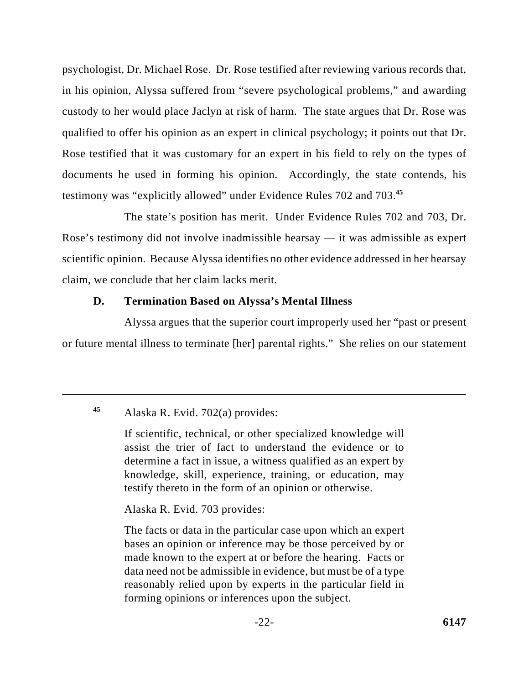psychologist, Dr. Michael Rose. Dr. Rose testified after reviewing various records that, in his opinion, Alyssa suffered from "severe psychological problems," and awarding custody to her would place Jaclyn at risk of harm. The state argues that Dr. Rose was qualified to offer his opinion as an expert in clinical psychology; it points out that Dr. Rose testified that it was customary for an expert in his field to rely on the types of documents he used in forming his opinion. Accordingly, the state contends, his testimony was "explicitly allowed" under Evidence Rules 702 and 703.**<sup>45</sup>**

The state's position has merit. Under Evidence Rules 702 and 703, Dr. Rose's testimony did not involve inadmissible hearsay — it was admissible as expert scientific opinion. Because Alyssa identifies no other evidence addressed in her hearsay claim, we conclude that her claim lacks merit.

## **D. Termination Based on Alyssa's Mental Illness**

Alyssa argues that the superior court improperly used her "past or present or future mental illness to terminate [her] parental rights." She relies on our statement

Alaska R. Evid. 703 provides:

The facts or data in the particular case upon which an expert bases an opinion or inference may be those perceived by or made known to the expert at or before the hearing. Facts or data need not be admissible in evidence, but must be of a type reasonably relied upon by experts in the particular field in forming opinions or inferences upon the subject.

Alaska R. Evid. 702(a) provides: **<sup>45</sup>**

If scientific, technical, or other specialized knowledge will assist the trier of fact to understand the evidence or to determine a fact in issue, a witness qualified as an expert by knowledge, skill, experience, training, or education, may testify thereto in the form of an opinion or otherwise.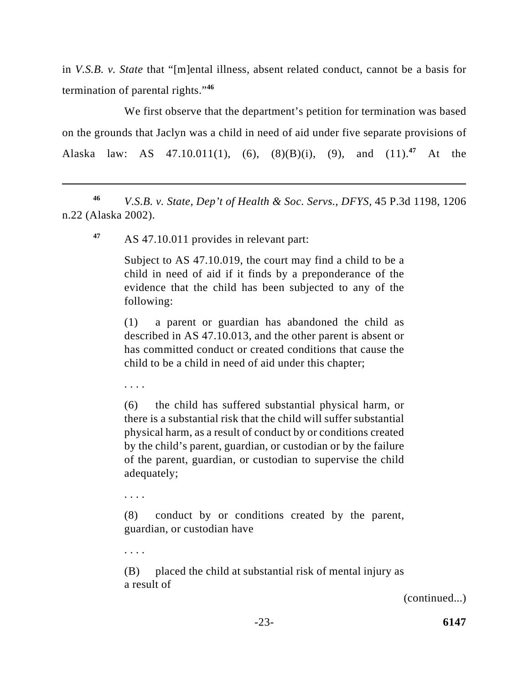in *V.S.B. v. State* that "[m]ental illness, absent related conduct, cannot be a basis for termination of parental rights."**<sup>46</sup>**

We first observe that the department's petition for termination was based on the grounds that Jaclyn was a child in need of aid under five separate provisions of Alaska law: AS  $47.10.011(1)$ ,  $(6)$ ,  $(8)(B)(i)$ ,  $(9)$ , and  $(11).^{47}$  At the

*V.S.B. v. State, Dep't of Health & Soc. Servs., DFYS*, 45 P.3d 1198, 1206 **<sup>46</sup>** n.22 (Alaska 2002).

AS 47.10.011 provides in relevant part: **<sup>47</sup>**

Subject to AS 47.10.019, the court may find a child to be a child in need of aid if it finds by a preponderance of the evidence that the child has been subjected to any of the following:

(1) a parent or guardian has abandoned the child as described in AS 47.10.013, and the other parent is absent or has committed conduct or created conditions that cause the child to be a child in need of aid under this chapter;

. . . .

(6) the child has suffered substantial physical harm, or there is a substantial risk that the child will suffer substantial physical harm, as a result of conduct by or conditions created by the child's parent, guardian, or custodian or by the failure of the parent, guardian, or custodian to supervise the child adequately;

. . . .

. . . .

(8) conduct by or conditions created by the parent, guardian, or custodian have

(B) placed the child at substantial risk of mental injury as a result of

(continued...)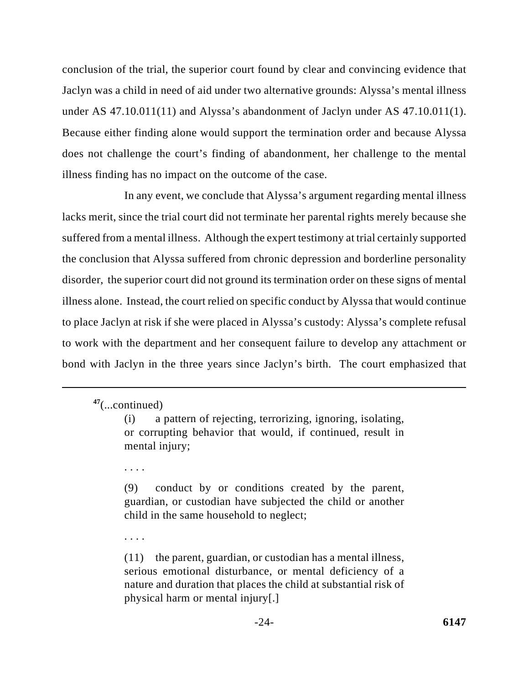conclusion of the trial, the superior court found by clear and convincing evidence that Jaclyn was a child in need of aid under two alternative grounds: Alyssa's mental illness under AS 47.10.011(11) and Alyssa's abandonment of Jaclyn under AS 47.10.011(1). Because either finding alone would support the termination order and because Alyssa does not challenge the court's finding of abandonment, her challenge to the mental illness finding has no impact on the outcome of the case.

In any event, we conclude that Alyssa's argument regarding mental illness lacks merit, since the trial court did not terminate her parental rights merely because she suffered from a mental illness. Although the expert testimony at trial certainly supported the conclusion that Alyssa suffered from chronic depression and borderline personality disorder, the superior court did not ground its termination order on these signs of mental illness alone. Instead, the court relied on specific conduct by Alyssa that would continue to place Jaclyn at risk if she were placed in Alyssa's custody: Alyssa's complete refusal to work with the department and her consequent failure to develop any attachment or bond with Jaclyn in the three years since Jaclyn's birth. The court emphasized that

. . . .

(9) conduct by or conditions created by the parent, guardian, or custodian have subjected the child or another child in the same household to neglect;

. . . .

(11) the parent, guardian, or custodian has a mental illness, serious emotional disturbance, or mental deficiency of a nature and duration that places the child at substantial risk of physical harm or mental injury[.]

<sup>(...</sup>continued) **<sup>47</sup>**

<sup>(</sup>i) a pattern of rejecting, terrorizing, ignoring, isolating, or corrupting behavior that would, if continued, result in mental injury;